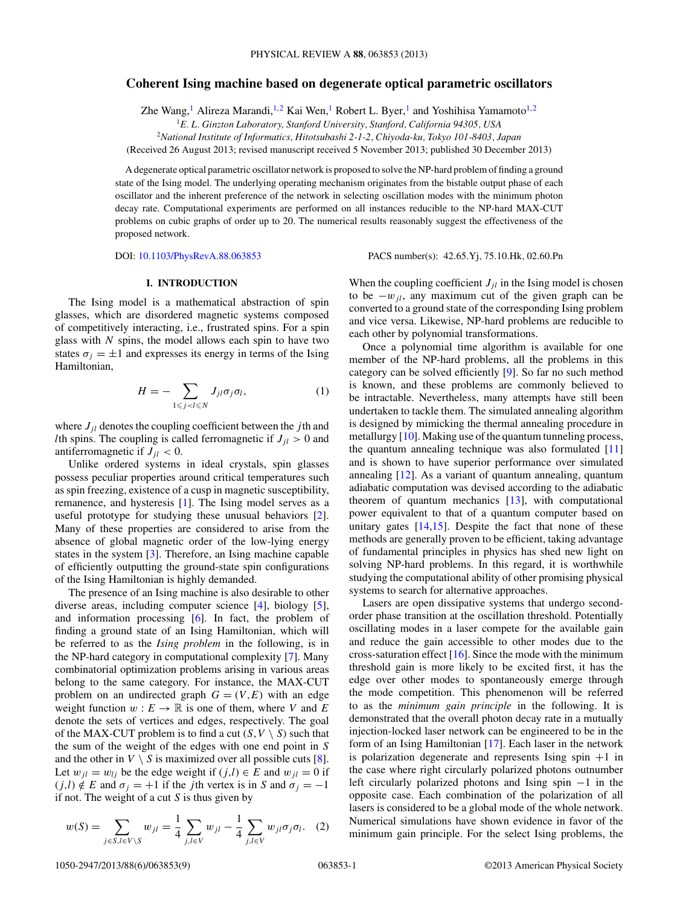# **Coherent Ising machine based on degenerate optical parametric oscillators**

Zhe Wang,<sup>1</sup> Alireza Marandi,<sup>1,2</sup> Kai Wen,<sup>1</sup> Robert L. Byer,<sup>1</sup> and Yoshihisa Yamamoto<sup>1,2</sup>

<sup>1</sup>*E. L. Ginzton Laboratory, Stanford University, Stanford, California 94305, USA*

<sup>2</sup>*National Institute of Informatics, Hitotsubashi 2-1-2, Chiyoda-ku, Tokyo 101-8403, Japan*

(Received 26 August 2013; revised manuscript received 5 November 2013; published 30 December 2013)

A degenerate optical parametric oscillator network is proposed to solve the NP-hard problem of finding a ground state of the Ising model. The underlying operating mechanism originates from the bistable output phase of each oscillator and the inherent preference of the network in selecting oscillation modes with the minimum photon decay rate. Computational experiments are performed on all instances reducible to the NP-hard MAX-CUT problems on cubic graphs of order up to 20. The numerical results reasonably suggest the effectiveness of the proposed network.

DOI: [10.1103/PhysRevA.88.063853](http://dx.doi.org/10.1103/PhysRevA.88.063853) PACS number(s): 42*.*65*.*Yj*,* 75*.*10*.*Hk*,* 02*.*60*.*Pn

# **I. INTRODUCTION**

The Ising model is a mathematical abstraction of spin glasses, which are disordered magnetic systems composed of competitively interacting, i.e., frustrated spins. For a spin glass with *N* spins, the model allows each spin to have two states  $\sigma_i = \pm 1$  and expresses its energy in terms of the Ising Hamiltonian,

$$
H = -\sum_{1 \leq j < l \leq N} J_{jl} \sigma_j \sigma_l,\tag{1}
$$

where *Jjl* denotes the coupling coefficient between the *j* th and *l*th spins. The coupling is called ferromagnetic if  $J_{il} > 0$  and antiferromagnetic if  $J_{il} < 0$ .

Unlike ordered systems in ideal crystals, spin glasses possess peculiar properties around critical temperatures such as spin freezing, existence of a cusp in magnetic susceptibility, remanence, and hysteresis [\[1\]](#page-7-0). The Ising model serves as a useful prototype for studying these unusual behaviors [\[2\]](#page-7-0). Many of these properties are considered to arise from the absence of global magnetic order of the low-lying energy states in the system [\[3\]](#page-7-0). Therefore, an Ising machine capable of efficiently outputting the ground-state spin configurations of the Ising Hamiltonian is highly demanded.

The presence of an Ising machine is also desirable to other diverse areas, including computer science [\[4\]](#page-7-0), biology [\[5\]](#page-7-0), and information processing [\[6\]](#page-7-0). In fact, the problem of finding a ground state of an Ising Hamiltonian, which will be referred to as the *Ising problem* in the following, is in the NP-hard category in computational complexity [\[7\]](#page-7-0). Many combinatorial optimization problems arising in various areas belong to the same category. For instance, the MAX-CUT problem on an undirected graph  $G = (V, E)$  with an edge weight function  $w : E \to \mathbb{R}$  is one of them, where *V* and *E* denote the sets of vertices and edges, respectively. The goal of the MAX-CUT problem is to find a cut  $(S, V \setminus S)$  such that the sum of the weight of the edges with one end point in *S* and the other in  $V \setminus S$  is maximized over all possible cuts [\[8\]](#page-7-0). Let  $w_{il} = w_{lj}$  be the edge weight if  $(j, l) \in E$  and  $w_{jl} = 0$  if  $(j, l) \notin E$  and  $\sigma_j = +1$  if the *j*th vertex is in *S* and  $\sigma_j = -1$ if not. The weight of a cut *S* is thus given by

$$
w(S) = \sum_{j \in S, l \in V \setminus S} w_{jl} = \frac{1}{4} \sum_{j,l \in V} w_{jl} - \frac{1}{4} \sum_{j,l \in V} w_{jl} \sigma_j \sigma_l.
$$
 (2)

When the coupling coefficient  $J_{il}$  in the Ising model is chosen to be −*wjl*, any maximum cut of the given graph can be converted to a ground state of the corresponding Ising problem and vice versa. Likewise, NP-hard problems are reducible to each other by polynomial transformations.

Once a polynomial time algorithm is available for one member of the NP-hard problems, all the problems in this category can be solved efficiently [\[9\]](#page-7-0). So far no such method is known, and these problems are commonly believed to be intractable. Nevertheless, many attempts have still been undertaken to tackle them. The simulated annealing algorithm is designed by mimicking the thermal annealing procedure in metallurgy [\[10\]](#page-7-0). Making use of the quantum tunneling process, the quantum annealing technique was also formulated  $[11]$ and is shown to have superior performance over simulated annealing [\[12\]](#page-7-0). As a variant of quantum annealing, quantum adiabatic computation was devised according to the adiabatic theorem of quantum mechanics [\[13\]](#page-7-0), with computational power equivalent to that of a quantum computer based on unitary gates [\[14,15\]](#page-7-0). Despite the fact that none of these methods are generally proven to be efficient, taking advantage of fundamental principles in physics has shed new light on solving NP-hard problems. In this regard, it is worthwhile studying the computational ability of other promising physical systems to search for alternative approaches.

Lasers are open dissipative systems that undergo secondorder phase transition at the oscillation threshold. Potentially oscillating modes in a laser compete for the available gain and reduce the gain accessible to other modes due to the cross-saturation effect [\[16\]](#page-7-0). Since the mode with the minimum threshold gain is more likely to be excited first, it has the edge over other modes to spontaneously emerge through the mode competition. This phenomenon will be referred to as the *minimum gain principle* in the following. It is demonstrated that the overall photon decay rate in a mutually injection-locked laser network can be engineered to be in the form of an Ising Hamiltonian [\[17\]](#page-7-0). Each laser in the network is polarization degenerate and represents Ising spin  $+1$  in the case where right circularly polarized photons outnumber left circularly polarized photons and Ising spin −1 in the opposite case. Each combination of the polarization of all lasers is considered to be a global mode of the whole network. Numerical simulations have shown evidence in favor of the minimum gain principle. For the select Ising problems, the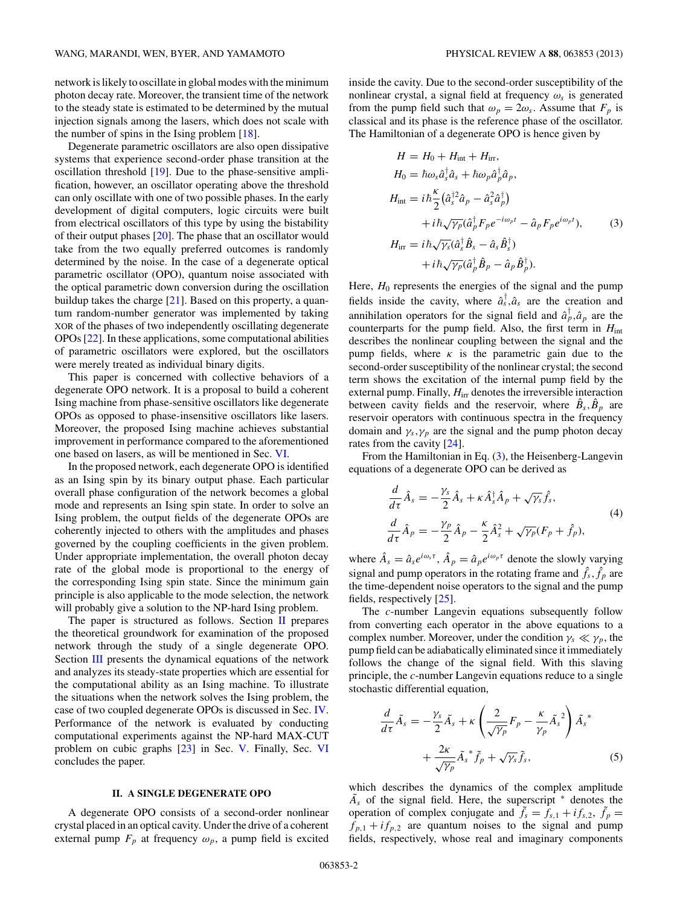<span id="page-1-0"></span>network is likely to oscillate in global modes with the minimum photon decay rate. Moreover, the transient time of the network to the steady state is estimated to be determined by the mutual injection signals among the lasers, which does not scale with the number of spins in the Ising problem [\[18\]](#page-7-0).

Degenerate parametric oscillators are also open dissipative systems that experience second-order phase transition at the oscillation threshold [\[19\]](#page-8-0). Due to the phase-sensitive amplification, however, an oscillator operating above the threshold can only oscillate with one of two possible phases. In the early development of digital computers, logic circuits were built from electrical oscillators of this type by using the bistability of their output phases [\[20\]](#page-8-0). The phase that an oscillator would take from the two equally preferred outcomes is randomly determined by the noise. In the case of a degenerate optical parametric oscillator (OPO), quantum noise associated with the optical parametric down conversion during the oscillation buildup takes the charge [\[21\]](#page-8-0). Based on this property, a quantum random-number generator was implemented by taking XOR of the phases of two independently oscillating degenerate OPOs [\[22\]](#page-8-0). In these applications, some computational abilities of parametric oscillators were explored, but the oscillators were merely treated as individual binary digits.

This paper is concerned with collective behaviors of a degenerate OPO network. It is a proposal to build a coherent Ising machine from phase-sensitive oscillators like degenerate OPOs as opposed to phase-insensitive oscillators like lasers. Moreover, the proposed Ising machine achieves substantial improvement in performance compared to the aforementioned one based on lasers, as will be mentioned in Sec. [VI.](#page-6-0)

In the proposed network, each degenerate OPO is identified as an Ising spin by its binary output phase. Each particular overall phase configuration of the network becomes a global mode and represents an Ising spin state. In order to solve an Ising problem, the output fields of the degenerate OPOs are coherently injected to others with the amplitudes and phases governed by the coupling coefficients in the given problem. Under appropriate implementation, the overall photon decay rate of the global mode is proportional to the energy of the corresponding Ising spin state. Since the minimum gain principle is also applicable to the mode selection, the network will probably give a solution to the NP-hard Ising problem.

The paper is structured as follows. Section  $\Pi$  prepares the theoretical groundwork for examination of the proposed network through the study of a single degenerate OPO. Section [III](#page-2-0) presents the dynamical equations of the network and analyzes its steady-state properties which are essential for the computational ability as an Ising machine. To illustrate the situations when the network solves the Ising problem, the case of two coupled degenerate OPOs is discussed in Sec. [IV.](#page-4-0) Performance of the network is evaluated by conducting computational experiments against the NP-hard MAX-CUT problem on cubic graphs [\[23\]](#page-8-0) in Sec. [V.](#page-5-0) Finally, Sec. [VI](#page-6-0) concludes the paper.

### **II. A SINGLE DEGENERATE OPO**

A degenerate OPO consists of a second-order nonlinear crystal placed in an optical cavity. Under the drive of a coherent external pump  $F_p$  at frequency  $\omega_p$ , a pump field is excited inside the cavity. Due to the second-order susceptibility of the nonlinear crystal, a signal field at frequency  $\omega_s$  is generated from the pump field such that  $\omega_p = 2\omega_s$ . Assume that  $F_p$  is classical and its phase is the reference phase of the oscillator. The Hamiltonian of a degenerate OPO is hence given by

$$
H = H_0 + H_{int} + H_{irr},
$$
  
\n
$$
H_0 = \hbar \omega_s \hat{a}_s^{\dagger} \hat{a}_s + \hbar \omega_p \hat{a}_p^{\dagger} \hat{a}_p,
$$
  
\n
$$
H_{int} = i\hbar \frac{\kappa}{2} (\hat{a}_s^{\dagger 2} \hat{a}_p - \hat{a}_s^2 \hat{a}_p^{\dagger})
$$
  
\n
$$
+ i\hbar \sqrt{\gamma_p} (\hat{a}_p^{\dagger} F_p e^{-i\omega_p t} - \hat{a}_p F_p e^{i\omega_p t}),
$$
  
\n
$$
H_{irr} = i\hbar \sqrt{\gamma_s} (\hat{a}_s^{\dagger} \hat{B}_s - \hat{a}_s \hat{B}_s^{\dagger})
$$
  
\n
$$
+ i\hbar \sqrt{\gamma_p} (\hat{a}_p^{\dagger} \hat{B}_p - \hat{a}_p \hat{B}_p^{\dagger}).
$$
  
\n(3)

Here,  $H_0$  represents the energies of the signal and the pump fields inside the cavity, where  $\hat{a}_s^{\dagger}$ ,  $\hat{a}_s$  are the creation and annihilation operators for the signal field and  $\hat{a}_p^{\dagger}$ ,  $\hat{a}_p$  are the counterparts for the pump field. Also, the first term in *H*int describes the nonlinear coupling between the signal and the pump fields, where  $\kappa$  is the parametric gain due to the second-order susceptibility of the nonlinear crystal; the second term shows the excitation of the internal pump field by the external pump. Finally,  $H_{irr}$  denotes the irreversible interaction between cavity fields and the reservoir, where  $\hat{B}_s$ ,  $\hat{B}_p$  are reservoir operators with continuous spectra in the frequency domain and  $\gamma_s, \gamma_p$  are the signal and the pump photon decay rates from the cavity [\[24\]](#page-8-0).

From the Hamiltonian in Eq. (3), the Heisenberg-Langevin equations of a degenerate OPO can be derived as

$$
\frac{d}{d\tau}\hat{A}_s = -\frac{\gamma_s}{2}\hat{A}_s + \kappa \hat{A}_s^{\dagger}\hat{A}_p + \sqrt{\gamma_s}\hat{f}_s,
$$
\n
$$
\frac{d}{d\tau}\hat{A}_p = -\frac{\gamma_p}{2}\hat{A}_p - \frac{\kappa}{2}\hat{A}_s^2 + \sqrt{\gamma_p}(F_p + \hat{f}_p),
$$
\n(4)

where  $\hat{A}_s = \hat{a}_s e^{i\omega_s \tau}$ ,  $\hat{A}_p = \hat{a}_p e^{i\omega_p \tau}$  denote the slowly varying signal and pump operators in the rotating frame and  $\hat{f}_s$ ,  $\hat{f}_p$  are the time-dependent noise operators to the signal and the pump fields, respectively [\[25\]](#page-8-0).

The *c*-number Langevin equations subsequently follow from converting each operator in the above equations to a complex number. Moreover, under the condition  $\gamma_s \ll \gamma_p$ , the pump field can be adiabatically eliminated since it immediately follows the change of the signal field. With this slaving principle, the *c*-number Langevin equations reduce to a single stochastic differential equation,

$$
\frac{d}{d\tau}\tilde{A}_s = -\frac{\gamma_s}{2}\tilde{A}_s + \kappa \left(\frac{2}{\sqrt{\gamma_p}}F_p - \frac{\kappa}{\gamma_p}\tilde{A}_s^2\right)\tilde{A}_s^* \n+ \frac{2\kappa}{\sqrt{\gamma_p}}\tilde{A}_s^*\tilde{f}_p + \sqrt{\gamma_s}\tilde{f}_s, \tag{5}
$$

which describes the dynamics of the complex amplitude  $\tilde{A}_{s}$  of the signal field. Here, the superscript  $*$  denotes the operation of complex conjugate and  $\tilde{f}_s = \tilde{f}_{s,1} + i f_{s,2}, \ \tilde{f}_p =$  $f_{p,1} + i f_{p,2}$  are quantum noises to the signal and pump fields, respectively, whose real and imaginary components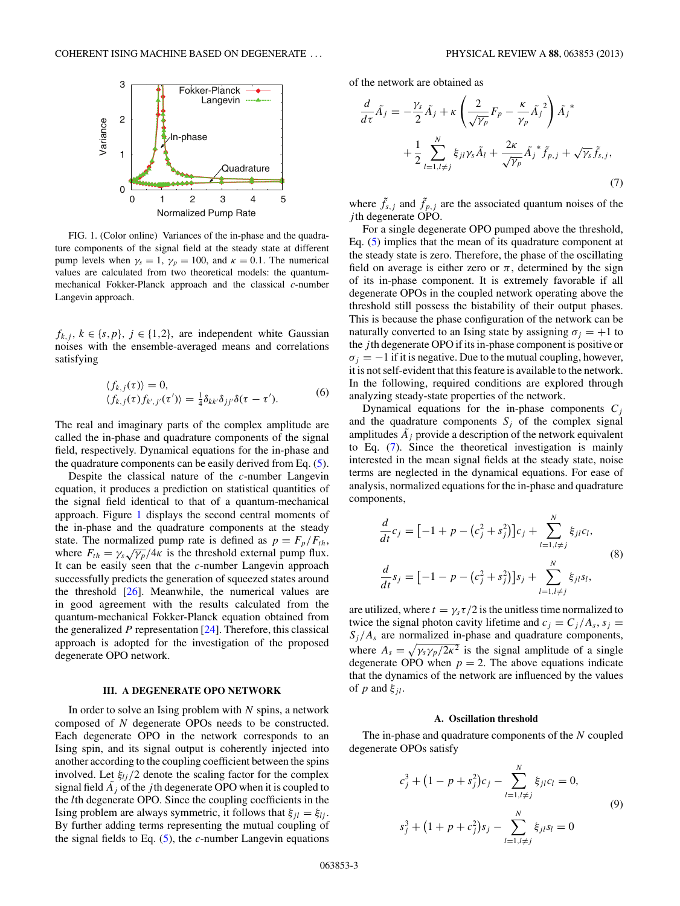<span id="page-2-0"></span>

FIG. 1. (Color online) Variances of the in-phase and the quadrature components of the signal field at the steady state at different pump levels when  $\gamma_s = 1$ ,  $\gamma_p = 100$ , and  $\kappa = 0.1$ . The numerical values are calculated from two theoretical models: the quantummechanical Fokker-Planck approach and the classical *c*-number Langevin approach.

 $f_{k,j}, k \in \{s, p\}, j \in \{1, 2\},\$ are independent white Gaussian noises with the ensemble-averaged means and correlations satisfying

$$
\langle f_{k,j}(\tau) \rangle = 0,
$$
  

$$
\langle f_{k,j}(\tau) f_{k',j'}(\tau') \rangle = \frac{1}{4} \delta_{kk'} \delta_{jj'} \delta(\tau - \tau').
$$
 (6)

The real and imaginary parts of the complex amplitude are called the in-phase and quadrature components of the signal field, respectively. Dynamical equations for the in-phase and the quadrature components can be easily derived from Eq.  $(5)$ .

Despite the classical nature of the *c*-number Langevin equation, it produces a prediction on statistical quantities of the signal field identical to that of a quantum-mechanical approach. Figure 1 displays the second central moments of the in-phase and the quadrature components at the steady state. The normalized pump rate is defined as  $p = F_p/F_{th}$ , where  $F_{th} = \gamma_s \sqrt{\gamma_p}/4\kappa$  is the threshold external pump flux. It can be easily seen that the *c*-number Langevin approach successfully predicts the generation of squeezed states around the threshold [\[26\]](#page-8-0). Meanwhile, the numerical values are in good agreement with the results calculated from the quantum-mechanical Fokker-Planck equation obtained from the generalized *P* representation [\[24\]](#page-8-0). Therefore, this classical approach is adopted for the investigation of the proposed degenerate OPO network.

#### **III. A DEGENERATE OPO NETWORK**

In order to solve an Ising problem with *N* spins, a network composed of *N* degenerate OPOs needs to be constructed. Each degenerate OPO in the network corresponds to an Ising spin, and its signal output is coherently injected into another according to the coupling coefficient between the spins involved. Let  $\xi_{ij}/2$  denote the scaling factor for the complex signal field  $\tilde{A}_j$  of the *j* th degenerate OPO when it is coupled to the *l*th degenerate OPO. Since the coupling coefficients in the Ising problem are always symmetric, it follows that  $\xi_{il} = \xi_{lj}$ . By further adding terms representing the mutual coupling of the signal fields to Eq. [\(5\)](#page-1-0), the *c*-number Langevin equations of the network are obtained as

$$
\frac{d}{d\tau}\tilde{A}_j = -\frac{\gamma_s}{2}\tilde{A}_j + \kappa \left(\frac{2}{\sqrt{\gamma_p}}F_p - \frac{\kappa}{\gamma_p}\tilde{A}_j^2\right)\tilde{A}_j^* \n+ \frac{1}{2}\sum_{l=1, l \neq j}^N \xi_{jl}\gamma_s\tilde{A}_l + \frac{2\kappa}{\sqrt{\gamma_p}}\tilde{A}_j^*\tilde{f}_{p,j} + \sqrt{\gamma_s}\tilde{f}_{s,j},
$$
\n(7)

where  $\tilde{f}_{s,j}$  and  $\tilde{f}_{p,j}$  are the associated quantum noises of the *j* th degenerate OPO.

For a single degenerate OPO pumped above the threshold, Eq. [\(5\)](#page-1-0) implies that the mean of its quadrature component at the steady state is zero. Therefore, the phase of the oscillating field on average is either zero or  $\pi$ , determined by the sign of its in-phase component. It is extremely favorable if all degenerate OPOs in the coupled network operating above the threshold still possess the bistability of their output phases. This is because the phase configuration of the network can be naturally converted to an Ising state by assigning  $\sigma_i = +1$  to the *j* th degenerate OPO if its in-phase component is positive or  $\sigma_i = -1$  if it is negative. Due to the mutual coupling, however, it is not self-evident that this feature is available to the network. In the following, required conditions are explored through analyzing steady-state properties of the network.

Dynamical equations for the in-phase components  $C_j$ and the quadrature components  $S_i$  of the complex signal amplitudes  $\tilde{A}_j$  provide a description of the network equivalent to Eq. (7). Since the theoretical investigation is mainly interested in the mean signal fields at the steady state, noise terms are neglected in the dynamical equations. For ease of analysis, normalized equations for the in-phase and quadrature components,

$$
\frac{d}{dt}c_j = [-1 + p - (c_j^2 + s_j^2)]c_j + \sum_{l=1, l \neq j}^{N} \xi_{jl}c_l,
$$
\n
$$
\frac{d}{dt}s_j = [-1 - p - (c_j^2 + s_j^2)]s_j + \sum_{l=1, l \neq j}^{N} \xi_{jl}s_l,
$$
\n(8)

are utilized, where  $t = \gamma_s \tau/2$  is the unitless time normalized to twice the signal photon cavity lifetime and  $c_j = C_j/A_s$ ,  $s_j =$  $S_j/A_s$  are normalized in-phase and quadrature components, where  $A_s = \sqrt{\gamma_s \gamma_p / 2\kappa^2}$  is the signal amplitude of a single degenerate OPO when  $p = 2$ . The above equations indicate that the dynamics of the network are influenced by the values of *p* and  $\xi_{il}$ .

### **A. Oscillation threshold**

The in-phase and quadrature components of the *N* coupled degenerate OPOs satisfy

$$
c_j^3 + (1 - p + s_j^2)c_j - \sum_{l=1, l \neq j}^{N} \xi_{jl}c_l = 0,
$$
  

$$
s_j^3 + (1 + p + c_j^2)s_j - \sum_{l=1, l \neq j}^{N} \xi_{jl}s_l = 0
$$
 (9)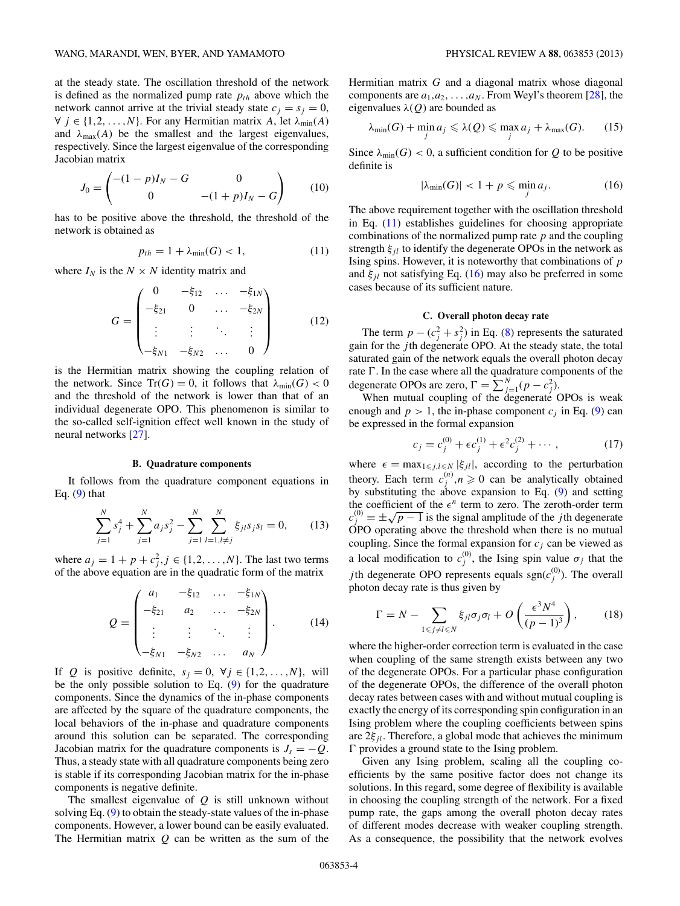<span id="page-3-0"></span>at the steady state. The oscillation threshold of the network is defined as the normalized pump rate  $p_{th}$  above which the network cannot arrive at the trivial steady state  $c_i = s_j = 0$ ,  $\forall$  *j*  $\in$  {1,2, ..., *N*}. For any Hermitian matrix *A*, let  $\lambda_{\min}(A)$ and  $\lambda_{\text{max}}(A)$  be the smallest and the largest eigenvalues, respectively. Since the largest eigenvalue of the corresponding Jacobian matrix

$$
J_0 = \begin{pmatrix} -(1-p)I_N - G & 0 \\ 0 & -(1+p)I_N - G \end{pmatrix}
$$
 (10)

has to be positive above the threshold, the threshold of the network is obtained as

$$
p_{th} = 1 + \lambda_{\min}(G) < 1,\tag{11}
$$

where  $I_N$  is the  $N \times N$  identity matrix and

$$
G = \begin{pmatrix} 0 & -\xi_{12} & \dots & -\xi_{1N} \\ -\xi_{21} & 0 & \dots & -\xi_{2N} \\ \vdots & \vdots & \ddots & \vdots \\ -\xi_{N1} & -\xi_{N2} & \dots & 0 \end{pmatrix}
$$
(12)

is the Hermitian matrix showing the coupling relation of the network. Since  $Tr(G) = 0$ , it follows that  $\lambda_{min}(G) < 0$ and the threshold of the network is lower than that of an individual degenerate OPO. This phenomenon is similar to the so-called self-ignition effect well known in the study of neural networks [\[27\]](#page-8-0).

#### **B. Quadrature components**

It follows from the quadrature component equations in Eq.  $(9)$  that

$$
\sum_{j=1}^{N} s_j^4 + \sum_{j=1}^{N} a_j s_j^2 - \sum_{j=1}^{N} \sum_{l=1, l \neq j}^{N} \xi_{jl} s_j s_l = 0, \qquad (13)
$$

where  $a_j = 1 + p + c_j^2, j \in \{1, 2, ..., N\}$ . The last two terms of the above equation are in the quadratic form of the matrix

$$
Q = \begin{pmatrix} a_1 & -\xi_{12} & \dots & -\xi_{1N} \\ -\xi_{21} & a_2 & \dots & -\xi_{2N} \\ \vdots & \vdots & \ddots & \vdots \\ -\xi_{N1} & -\xi_{N2} & \dots & a_N \end{pmatrix} .
$$
 (14)

If *Q* is positive definite,  $s_j = 0$ ,  $\forall j \in \{1, 2, ..., N\}$ , will be the only possible solution to Eq. [\(9\)](#page-2-0) for the quadrature components. Since the dynamics of the in-phase components are affected by the square of the quadrature components, the local behaviors of the in-phase and quadrature components around this solution can be separated. The corresponding Jacobian matrix for the quadrature components is  $J_s = -Q$ . Thus, a steady state with all quadrature components being zero is stable if its corresponding Jacobian matrix for the in-phase components is negative definite.

The smallest eigenvalue of *Q* is still unknown without solving Eq. [\(9\)](#page-2-0) to obtain the steady-state values of the in-phase components. However, a lower bound can be easily evaluated. The Hermitian matrix *Q* can be written as the sum of the

Hermitian matrix *G* and a diagonal matrix whose diagonal components are  $a_1, a_2, \ldots, a_N$ . From Weyl's theorem [\[28\]](#page-8-0), the eigenvalues  $\lambda(Q)$  are bounded as

$$
\lambda_{\min}(G) + \min_{j} a_j \leq \lambda(Q) \leq \max_{j} a_j + \lambda_{\max}(G). \qquad (15)
$$

Since  $\lambda_{\min}(G) < 0$ , a sufficient condition for Q to be positive definite is

$$
|\lambda_{\min}(G)| < 1 + p \leqslant \min_{j} a_j. \tag{16}
$$

The above requirement together with the oscillation threshold in Eq. (11) establishes guidelines for choosing appropriate combinations of the normalized pump rate *p* and the coupling strength  $\xi_{il}$  to identify the degenerate OPOs in the network as Ising spins. However, it is noteworthy that combinations of *p* and  $\xi_{il}$  not satisfying Eq. (16) may also be preferred in some cases because of its sufficient nature.

# **C. Overall photon decay rate**

The term  $p - (c_j^2 + s_j^2)$  in Eq. [\(8\)](#page-2-0) represents the saturated gain for the *j* th degenerate OPO. At the steady state, the total saturated gain of the network equals the overall photon decay rate  $\Gamma$ . In the case where all the quadrature components of the degenerate OPOs are zero,  $\Gamma = \sum_{j=1}^{N} (p - c_j^2)$ .

When mutual coupling of the degenerate OPOs is weak enough and  $p > 1$ , the in-phase component  $c_j$  in Eq. [\(9\)](#page-2-0) can be expressed in the formal expansion

$$
c_j = c_j^{(0)} + \epsilon c_j^{(1)} + \epsilon^2 c_j^{(2)} + \cdots, \qquad (17)
$$

where  $\epsilon = \max_{1 \le j,l \le N} |\xi_{jl}|$ , according to the perturbation theory. Each term  $c_j^{(n)}$ ,  $n \ge 0$  can be analytically obtained by substituting the above expansion to Eq. [\(9\)](#page-2-0) and setting the coefficient of the  $\epsilon^n$  term to zero. The zeroth-order term the coefficient of the  $\epsilon$ <sup>"</sup> term to zero. The zeroth-order term<br>  $c_j^{(0)} = \pm \sqrt{p-1}$  is the signal amplitude of the *j* th degenerate OPO operating above the threshold when there is no mutual coupling. Since the formal expansion for  $c_j$  can be viewed as a local modification to  $c_j^{(0)}$ , the Ising spin value  $\sigma_j$  that the *j*th degenerate OPO represents equals  $sgn(c_j^{(0)})$ . The overall photon decay rate is thus given by

$$
\Gamma = N - \sum_{1 \le j \ne l \le N} \xi_{jl} \sigma_j \sigma_l + O\left(\frac{\epsilon^3 N^4}{(p-1)^3}\right),\tag{18}
$$

where the higher-order correction term is evaluated in the case when coupling of the same strength exists between any two of the degenerate OPOs. For a particular phase configuration of the degenerate OPOs, the difference of the overall photon decay rates between cases with and without mutual coupling is exactly the energy of its corresponding spin configuration in an Ising problem where the coupling coefficients between spins are  $2\xi_{il}$ . Therefore, a global mode that achieves the minimum  $\Gamma$  provides a ground state to the Ising problem.

Given any Ising problem, scaling all the coupling coefficients by the same positive factor does not change its solutions. In this regard, some degree of flexibility is available in choosing the coupling strength of the network. For a fixed pump rate, the gaps among the overall photon decay rates of different modes decrease with weaker coupling strength. As a consequence, the possibility that the network evolves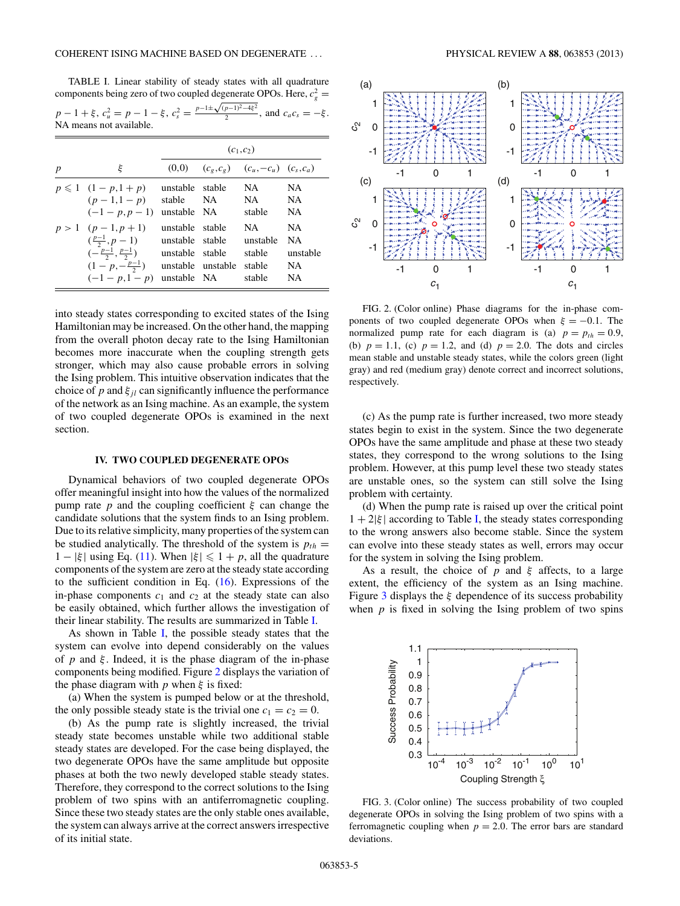<span id="page-4-0"></span>TABLE I. Linear stability of steady states with all quadrature components being zero of two coupled degenerate OPOs. Here,  $c_g^2$  =  $p-1+\xi$ ,  $c_u^2 = p-1-\xi$ ,  $c_s^2 = \frac{p-1\pm\sqrt{(p-1)^2-4\xi^2}}{2}$ , and  $c_a c_s = -\xi$ . NA means not available.

|                  |                                                                                                                                               | $(c_1, c_2)$                                                              |                    |                                                     |                                                              |  |  |
|------------------|-----------------------------------------------------------------------------------------------------------------------------------------------|---------------------------------------------------------------------------|--------------------|-----------------------------------------------------|--------------------------------------------------------------|--|--|
| $\boldsymbol{p}$ | ξ                                                                                                                                             | (0,0)                                                                     |                    | $(c_g, c_g)$ $(c_u, -c_u)$ $(c_s, c_a)$             |                                                              |  |  |
|                  | $p \leq 1 \quad (1-p, 1+p)$<br>$(p-1,1-p)$<br>$(-1 - p, p - 1)$                                                                               | unstable<br>stable<br>unstable NA                                         | stable<br>NA.      | NA.<br>NA.<br>stable                                | <b>NA</b><br><b>NA</b><br><b>NA</b>                          |  |  |
|                  | $p > 1$ $(p-1, p+1)$<br>$(\frac{p-1}{2}, p-1)$<br>$\left(-\frac{p-1}{2}, \frac{p-1}{2}\right)$<br>$(1-p,-\frac{p-1}{2})$<br>$(-1 - p, 1 - p)$ | unstable<br>unstable stable<br>unstable stable<br>unstable<br>unstable NA | stable<br>unstable | <b>NA</b><br>unstable<br>stable<br>stable<br>stable | <b>NA</b><br><b>NA</b><br>unstable<br><b>NA</b><br><b>NA</b> |  |  |

into steady states corresponding to excited states of the Ising Hamiltonian may be increased. On the other hand, the mapping from the overall photon decay rate to the Ising Hamiltonian becomes more inaccurate when the coupling strength gets stronger, which may also cause probable errors in solving the Ising problem. This intuitive observation indicates that the choice of  $p$  and  $\xi_{il}$  can significantly influence the performance of the network as an Ising machine. As an example, the system of two coupled degenerate OPOs is examined in the next section.

### **IV. TWO COUPLED DEGENERATE OPOS**

Dynamical behaviors of two coupled degenerate OPOs offer meaningful insight into how the values of the normalized pump rate *p* and the coupling coefficient *ξ* can change the candidate solutions that the system finds to an Ising problem. Due to its relative simplicity, many properties of the system can be studied analytically. The threshold of the system is  $p_{th} =$  $1 - |\xi|$  using Eq. [\(11\)](#page-3-0). When  $|\xi| \leq 1 + p$ , all the quadrature components of the system are zero at the steady state according to the sufficient condition in Eq.  $(16)$ . Expressions of the in-phase components  $c_1$  and  $c_2$  at the steady state can also be easily obtained, which further allows the investigation of their linear stability. The results are summarized in Table I.

As shown in Table I, the possible steady states that the system can evolve into depend considerably on the values of *p* and *ξ* . Indeed, it is the phase diagram of the in-phase components being modified. Figure 2 displays the variation of the phase diagram with *p* when *ξ* is fixed:

(a) When the system is pumped below or at the threshold, the only possible steady state is the trivial one  $c_1 = c_2 = 0$ .

(b) As the pump rate is slightly increased, the trivial steady state becomes unstable while two additional stable steady states are developed. For the case being displayed, the two degenerate OPOs have the same amplitude but opposite phases at both the two newly developed stable steady states. Therefore, they correspond to the correct solutions to the Ising problem of two spins with an antiferromagnetic coupling. Since these two steady states are the only stable ones available, the system can always arrive at the correct answers irrespective of its initial state.



FIG. 2. (Color online) Phase diagrams for the in-phase components of two coupled degenerate OPOs when  $\xi = -0.1$ . The normalized pump rate for each diagram is (a)  $p = p_{th} = 0.9$ , (b)  $p = 1.1$ , (c)  $p = 1.2$ , and (d)  $p = 2.0$ . The dots and circles mean stable and unstable steady states, while the colors green (light gray) and red (medium gray) denote correct and incorrect solutions, respectively.

(c) As the pump rate is further increased, two more steady states begin to exist in the system. Since the two degenerate OPOs have the same amplitude and phase at these two steady states, they correspond to the wrong solutions to the Ising problem. However, at this pump level these two steady states are unstable ones, so the system can still solve the Ising problem with certainty.

(d) When the pump rate is raised up over the critical point  $1 + 2|\xi|$  according to Table I, the steady states corresponding to the wrong answers also become stable. Since the system can evolve into these steady states as well, errors may occur for the system in solving the Ising problem.

As a result, the choice of *p* and *ξ* affects, to a large extent, the efficiency of the system as an Ising machine. Figure 3 displays the *ξ* dependence of its success probability when  $p$  is fixed in solving the Ising problem of two spins



FIG. 3. (Color online) The success probability of two coupled degenerate OPOs in solving the Ising problem of two spins with a ferromagnetic coupling when  $p = 2.0$ . The error bars are standard deviations.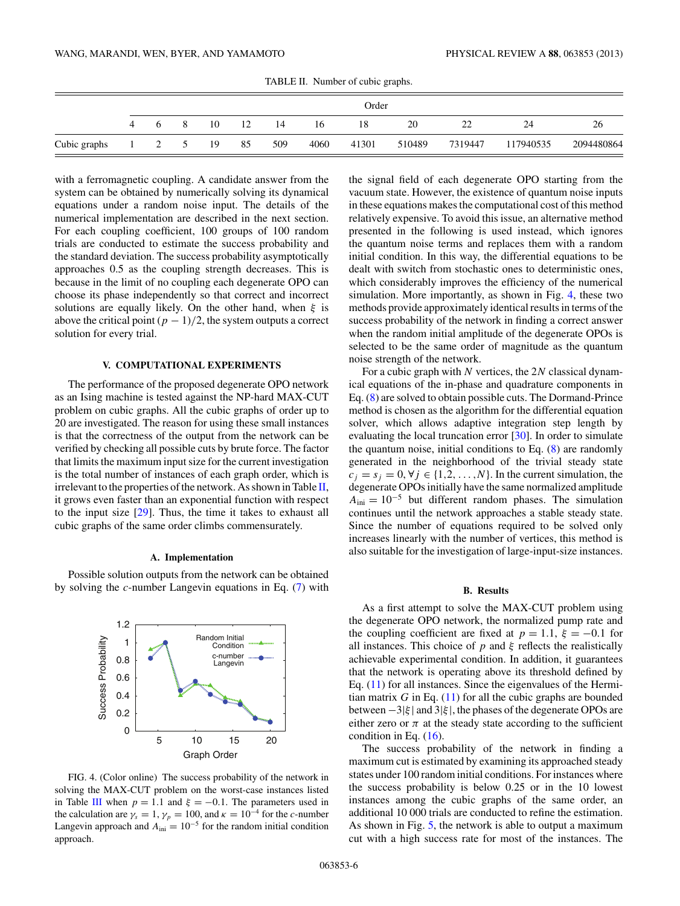TABLE II. Number of cubic graphs.

<span id="page-5-0"></span>

|              | .     |   |               |    |    |     |      |       |        |         |           |            |
|--------------|-------|---|---------------|----|----|-----|------|-------|--------|---------|-----------|------------|
|              | Order |   |               |    |    |     |      |       |        |         |           |            |
|              |       |   |               | 10 | 12 | 14  | 16   | 18    | 20     | 22      | 24        | 26         |
| Cubic graphs |       | 2 | $\mathcal{L}$ | 19 | 85 | 509 | 4060 | 41301 | 510489 | 7319447 | 117940535 | 2094480864 |

with a ferromagnetic coupling. A candidate answer from the system can be obtained by numerically solving its dynamical equations under a random noise input. The details of the numerical implementation are described in the next section. For each coupling coefficient, 100 groups of 100 random trials are conducted to estimate the success probability and the standard deviation. The success probability asymptotically approaches 0.5 as the coupling strength decreases. This is because in the limit of no coupling each degenerate OPO can choose its phase independently so that correct and incorrect solutions are equally likely. On the other hand, when *ξ* is above the critical point  $(p - 1)/2$ , the system outputs a correct solution for every trial.

## **V. COMPUTATIONAL EXPERIMENTS**

The performance of the proposed degenerate OPO network as an Ising machine is tested against the NP-hard MAX-CUT problem on cubic graphs. All the cubic graphs of order up to 20 are investigated. The reason for using these small instances is that the correctness of the output from the network can be verified by checking all possible cuts by brute force. The factor that limits the maximum input size for the current investigation is the total number of instances of each graph order, which is irrelevant to the properties of the network. As shown in Table II, it grows even faster than an exponential function with respect to the input size [\[29\]](#page-8-0). Thus, the time it takes to exhaust all cubic graphs of the same order climbs commensurately.

#### **A. Implementation**

Possible solution outputs from the network can be obtained by solving the *c*-number Langevin equations in Eq. [\(7\)](#page-2-0) with



FIG. 4. (Color online) The success probability of the network in solving the MAX-CUT problem on the worst-case instances listed in Table [III](#page-6-0) when  $p = 1.1$  and  $\xi = -0.1$ . The parameters used in the calculation are  $\gamma_s = 1$ ,  $\gamma_p = 100$ , and  $\kappa = 10^{-4}$  for the *c*-number Langevin approach and  $A_{\text{ini}} = 10^{-5}$  for the random initial condition approach.

the signal field of each degenerate OPO starting from the vacuum state. However, the existence of quantum noise inputs in these equations makes the computational cost of this method relatively expensive. To avoid this issue, an alternative method presented in the following is used instead, which ignores the quantum noise terms and replaces them with a random initial condition. In this way, the differential equations to be dealt with switch from stochastic ones to deterministic ones, which considerably improves the efficiency of the numerical simulation. More importantly, as shown in Fig. 4, these two methods provide approximately identical results in terms of the success probability of the network in finding a correct answer when the random initial amplitude of the degenerate OPOs is selected to be the same order of magnitude as the quantum noise strength of the network.

For a cubic graph with *N* vertices, the 2*N* classical dynamical equations of the in-phase and quadrature components in Eq. [\(8\)](#page-2-0) are solved to obtain possible cuts. The Dormand-Prince method is chosen as the algorithm for the differential equation solver, which allows adaptive integration step length by evaluating the local truncation error [\[30\]](#page-8-0). In order to simulate the quantum noise, initial conditions to Eq. [\(8\)](#page-2-0) are randomly generated in the neighborhood of the trivial steady state  $c_j = s_j = 0, \forall j \in \{1, 2, \dots, N\}$ . In the current simulation, the degenerate OPOs initially have the same normalized amplitude  $A_{\text{ini}} = 10^{-5}$  but different random phases. The simulation continues until the network approaches a stable steady state. Since the number of equations required to be solved only increases linearly with the number of vertices, this method is also suitable for the investigation of large-input-size instances.

#### **B. Results**

As a first attempt to solve the MAX-CUT problem using the degenerate OPO network, the normalized pump rate and the coupling coefficient are fixed at  $p = 1.1$ ,  $\xi = -0.1$  for all instances. This choice of *p* and *ξ* reflects the realistically achievable experimental condition. In addition, it guarantees that the network is operating above its threshold defined by Eq. [\(11\)](#page-3-0) for all instances. Since the eigenvalues of the Hermitian matrix  $G$  in Eq.  $(11)$  for all the cubic graphs are bounded between −3|*ξ* | and 3|*ξ* |, the phases of the degenerate OPOs are either zero or  $\pi$  at the steady state according to the sufficient condition in Eq. [\(16\)](#page-3-0).

The success probability of the network in finding a maximum cut is estimated by examining its approached steady states under 100 random initial conditions. For instances where the success probability is below 0.25 or in the 10 lowest instances among the cubic graphs of the same order, an additional 10 000 trials are conducted to refine the estimation. As shown in Fig. [5,](#page-6-0) the network is able to output a maximum cut with a high success rate for most of the instances. The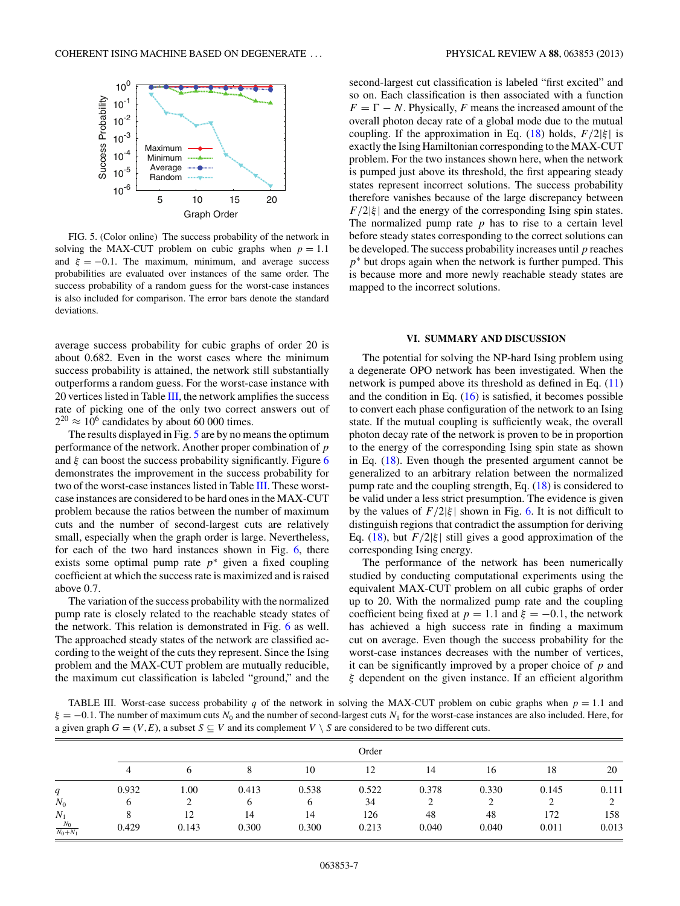<span id="page-6-0"></span>

FIG. 5. (Color online) The success probability of the network in solving the MAX-CUT problem on cubic graphs when  $p = 1.1$ and  $\xi = -0.1$ . The maximum, minimum, and average success probabilities are evaluated over instances of the same order. The success probability of a random guess for the worst-case instances is also included for comparison. The error bars denote the standard deviations.

average success probability for cubic graphs of order 20 is about 0.682. Even in the worst cases where the minimum success probability is attained, the network still substantially outperforms a random guess. For the worst-case instance with 20 vertices listed in Table III, the network amplifies the success rate of picking one of the only two correct answers out of  $2^{20} \approx 10^6$  candidates by about 60 000 times.

The results displayed in Fig. 5 are by no means the optimum performance of the network. Another proper combination of *p* and  $\xi$  can boost the success probability significantly. Figure [6](#page-7-0) demonstrates the improvement in the success probability for two of the worst-case instances listed in Table III. These worstcase instances are considered to be hard ones in the MAX-CUT problem because the ratios between the number of maximum cuts and the number of second-largest cuts are relatively small, especially when the graph order is large. Nevertheless, for each of the two hard instances shown in Fig. [6,](#page-7-0) there exists some optimal pump rate *p*<sup>∗</sup> given a fixed coupling coefficient at which the success rate is maximized and is raised above 0.7.

The variation of the success probability with the normalized pump rate is closely related to the reachable steady states of the network. This relation is demonstrated in Fig. [6](#page-7-0) as well. The approached steady states of the network are classified according to the weight of the cuts they represent. Since the Ising problem and the MAX-CUT problem are mutually reducible, the maximum cut classification is labeled "ground," and the

second-largest cut classification is labeled "first excited" and so on. Each classification is then associated with a function  $F = \Gamma - N$ . Physically, *F* means the increased amount of the overall photon decay rate of a global mode due to the mutual coupling. If the approximation in Eq. [\(18\)](#page-3-0) holds,  $F/2|\xi|$  is exactly the Ising Hamiltonian corresponding to the MAX-CUT problem. For the two instances shown here, when the network is pumped just above its threshold, the first appearing steady states represent incorrect solutions. The success probability therefore vanishes because of the large discrepancy between  $F/2|\xi|$  and the energy of the corresponding Ising spin states. The normalized pump rate *p* has to rise to a certain level before steady states corresponding to the correct solutions can be developed. The success probability increases until *p* reaches *p*<sup>∗</sup> but drops again when the network is further pumped. This is because more and more newly reachable steady states are mapped to the incorrect solutions.

## **VI. SUMMARY AND DISCUSSION**

The potential for solving the NP-hard Ising problem using a degenerate OPO network has been investigated. When the network is pumped above its threshold as defined in Eq. [\(11\)](#page-3-0) and the condition in Eq.  $(16)$  is satisfied, it becomes possible to convert each phase configuration of the network to an Ising state. If the mutual coupling is sufficiently weak, the overall photon decay rate of the network is proven to be in proportion to the energy of the corresponding Ising spin state as shown in Eq. [\(18\)](#page-3-0). Even though the presented argument cannot be generalized to an arbitrary relation between the normalized pump rate and the coupling strength, Eq. [\(18\)](#page-3-0) is considered to be valid under a less strict presumption. The evidence is given by the values of  $F/2|\xi|$  shown in Fig. [6.](#page-7-0) It is not difficult to distinguish regions that contradict the assumption for deriving Eq. [\(18\)](#page-3-0), but  $F/2|\xi|$  still gives a good approximation of the corresponding Ising energy.

The performance of the network has been numerically studied by conducting computational experiments using the equivalent MAX-CUT problem on all cubic graphs of order up to 20. With the normalized pump rate and the coupling coefficient being fixed at  $p = 1.1$  and  $\xi = -0.1$ , the network has achieved a high success rate in finding a maximum cut on average. Even though the success probability for the worst-case instances decreases with the number of vertices, it can be significantly improved by a proper choice of *p* and *ξ* dependent on the given instance. If an efficient algorithm

TABLE III. Worst-case success probability *q* of the network in solving the MAX-CUT problem on cubic graphs when  $p = 1.1$  and  $\xi = -0.1$ . The number of maximum cuts  $N_0$  and the number of second-largest cuts  $N_1$  for the worst-case instances are also included. Here, for a given graph  $G = (V, E)$ , a subset  $S \subseteq V$  and its complement  $V \setminus S$  are considered to be two different cuts.

|                    | Order |       |       |       |       |       |       |       |       |  |
|--------------------|-------|-------|-------|-------|-------|-------|-------|-------|-------|--|
|                    |       |       |       | 10    | 12    | 14    | 16    | 18    | 20    |  |
| q                  | 0.932 | 1.00  | 0.413 | 0.538 | 0.522 | 0.378 | 0.330 | 0.145 | 0.111 |  |
| $N_0$              | O     |       |       |       | 34    | ∠     |       |       | ∠     |  |
| $N_{1}$            |       | 12    | 14    | 14    | 126   | 48    | 48    | 172   | 158   |  |
| $N_0$<br>$N_0+N_1$ | 0.429 | 0.143 | 0.300 | 0.300 | 0.213 | 0.040 | 0.040 | 0.011 | 0.013 |  |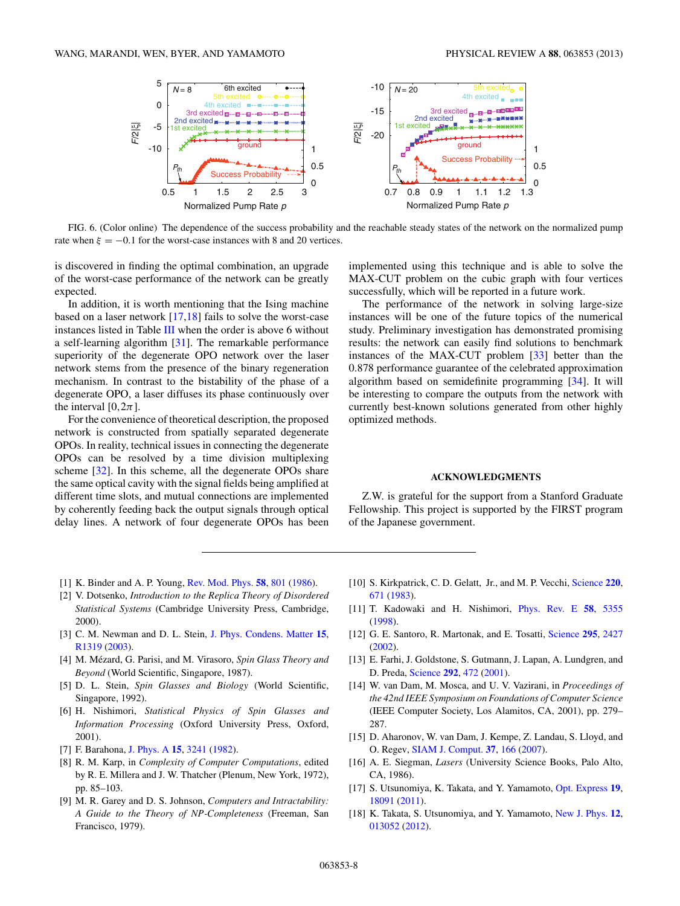<span id="page-7-0"></span>

FIG. 6. (Color online) The dependence of the success probability and the reachable steady states of the network on the normalized pump rate when  $\xi = -0.1$  for the worst-case instances with 8 and 20 vertices.

is discovered in finding the optimal combination, an upgrade of the worst-case performance of the network can be greatly expected.

In addition, it is worth mentioning that the Ising machine based on a laser network [17,18] fails to solve the worst-case instances listed in Table [III](#page-6-0) when the order is above 6 without a self-learning algorithm [\[31\]](#page-8-0). The remarkable performance superiority of the degenerate OPO network over the laser network stems from the presence of the binary regeneration mechanism. In contrast to the bistability of the phase of a degenerate OPO, a laser diffuses its phase continuously over the interval  $[0, 2\pi]$ .

For the convenience of theoretical description, the proposed network is constructed from spatially separated degenerate OPOs. In reality, technical issues in connecting the degenerate OPOs can be resolved by a time division multiplexing scheme [\[32\]](#page-8-0). In this scheme, all the degenerate OPOs share the same optical cavity with the signal fields being amplified at different time slots, and mutual connections are implemented by coherently feeding back the output signals through optical delay lines. A network of four degenerate OPOs has been implemented using this technique and is able to solve the MAX-CUT problem on the cubic graph with four vertices successfully, which will be reported in a future work.

The performance of the network in solving large-size instances will be one of the future topics of the numerical study. Preliminary investigation has demonstrated promising results: the network can easily find solutions to benchmark instances of the MAX-CUT problem [\[33\]](#page-8-0) better than the 0.878 performance guarantee of the celebrated approximation algorithm based on semidefinite programming [\[34\]](#page-8-0). It will be interesting to compare the outputs from the network with currently best-known solutions generated from other highly optimized methods.

## **ACKNOWLEDGMENTS**

Z.W. is grateful for the support from a Stanford Graduate Fellowship. This project is supported by the FIRST program of the Japanese government.

- [1] K. Binder and A. P. Young, [Rev. Mod. Phys.](http://dx.doi.org/10.1103/RevModPhys.58.801) **[58](http://dx.doi.org/10.1103/RevModPhys.58.801)**, [801](http://dx.doi.org/10.1103/RevModPhys.58.801) [\(1986\)](http://dx.doi.org/10.1103/RevModPhys.58.801).
- [2] V. Dotsenko, *Introduction to the Replica Theory of Disordered Statistical Systems* (Cambridge University Press, Cambridge, 2000).
- [3] C. M. Newman and D. L. Stein, [J. Phys. Condens. Matter](http://dx.doi.org/10.1088/0953-8984/15/32/202) **[15](http://dx.doi.org/10.1088/0953-8984/15/32/202)**, [R1319](http://dx.doi.org/10.1088/0953-8984/15/32/202) [\(2003\)](http://dx.doi.org/10.1088/0953-8984/15/32/202).
- [4] M. Mézard, G. Parisi, and M. Virasoro, Spin Glass Theory and *Beyond* (World Scientific, Singapore, 1987).
- [5] D. L. Stein, *Spin Glasses and Biology* (World Scientific, Singapore, 1992).
- [6] H. Nishimori, *Statistical Physics of Spin Glasses and Information Processing* (Oxford University Press, Oxford, 2001).
- [7] F. Barahona, [J. Phys. A](http://dx.doi.org/10.1088/0305-4470/15/10/028) **[15](http://dx.doi.org/10.1088/0305-4470/15/10/028)**, [3241](http://dx.doi.org/10.1088/0305-4470/15/10/028) [\(1982\)](http://dx.doi.org/10.1088/0305-4470/15/10/028).
- [8] R. M. Karp, in *Complexity of Computer Computations*, edited by R. E. Millera and J. W. Thatcher (Plenum, New York, 1972), pp. 85–103.
- [9] M. R. Garey and D. S. Johnson, *Computers and Intractability: A Guide to the Theory of NP-Completeness* (Freeman, San Francisco, 1979).
- [10] S. Kirkpatrick, C. D. Gelatt, Jr., and M. P. Vecchi, [Science](http://dx.doi.org/10.1126/science.220.4598.671) **[220](http://dx.doi.org/10.1126/science.220.4598.671)**, [671](http://dx.doi.org/10.1126/science.220.4598.671) [\(1983\)](http://dx.doi.org/10.1126/science.220.4598.671).
- [11] T. Kadowaki and H. Nishimori, [Phys. Rev. E](http://dx.doi.org/10.1103/PhysRevE.58.5355) **[58](http://dx.doi.org/10.1103/PhysRevE.58.5355)**, [5355](http://dx.doi.org/10.1103/PhysRevE.58.5355) [\(1998\)](http://dx.doi.org/10.1103/PhysRevE.58.5355).
- [12] G. E. Santoro, R. Martonak, and E. Tosatti, [Science](http://dx.doi.org/10.1126/science.1068774) **[295](http://dx.doi.org/10.1126/science.1068774)**, [2427](http://dx.doi.org/10.1126/science.1068774) [\(2002\)](http://dx.doi.org/10.1126/science.1068774).
- [13] E. Farhi, J. Goldstone, S. Gutmann, J. Lapan, A. Lundgren, and D. Preda, [Science](http://dx.doi.org/10.1126/science.1057726) **[292](http://dx.doi.org/10.1126/science.1057726)**, [472](http://dx.doi.org/10.1126/science.1057726) [\(2001\)](http://dx.doi.org/10.1126/science.1057726).
- [14] W. van Dam, M. Mosca, and U. V. Vazirani, in *Proceedings of the 42nd IEEE Symposium on Foundations of Computer Science* (IEEE Computer Society, Los Alamitos, CA, 2001), pp. 279– 287.
- [15] D. Aharonov, W. van Dam, J. Kempe, Z. Landau, S. Lloyd, and O. Regev, [SIAM J. Comput.](http://dx.doi.org/10.1137/S0097539705447323) **[37](http://dx.doi.org/10.1137/S0097539705447323)**, [166](http://dx.doi.org/10.1137/S0097539705447323) [\(2007\)](http://dx.doi.org/10.1137/S0097539705447323).
- [16] A. E. Siegman, *Lasers* (University Science Books, Palo Alto, CA, 1986).
- [17] S. Utsunomiya, K. Takata, and Y. Yamamoto, [Opt. Express](http://dx.doi.org/10.1364/OE.19.018091) **[19](http://dx.doi.org/10.1364/OE.19.018091)**, [18091](http://dx.doi.org/10.1364/OE.19.018091) [\(2011\)](http://dx.doi.org/10.1364/OE.19.018091).
- [18] K. Takata, S. Utsunomiya, and Y. Yamamoto, [New J. Phys.](http://dx.doi.org/10.1088/1367-2630/14/1/013052) **[12](http://dx.doi.org/10.1088/1367-2630/14/1/013052)**, [013052](http://dx.doi.org/10.1088/1367-2630/14/1/013052) [\(2012\)](http://dx.doi.org/10.1088/1367-2630/14/1/013052).